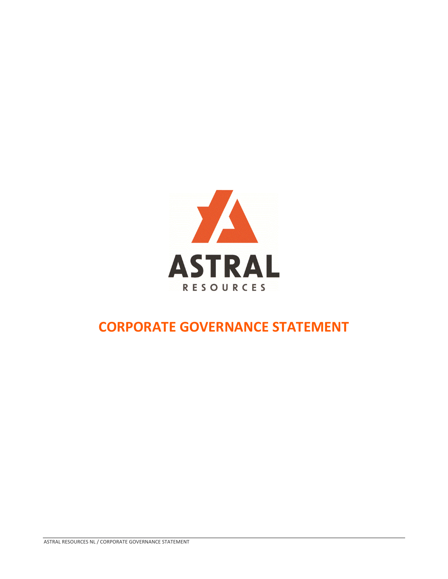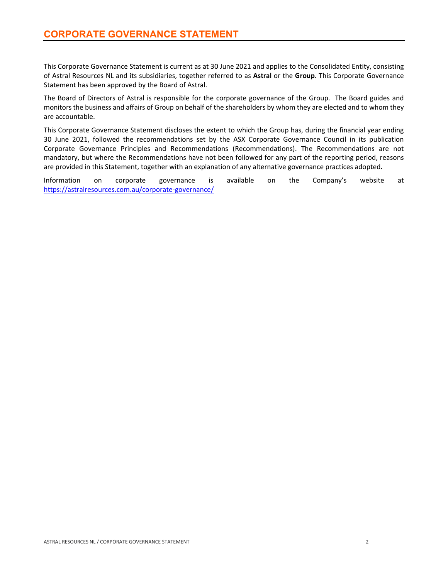This Corporate Governance Statement is current as at 30 June 2021 and applies to the Consolidated Entity, consisting of Astral Resources NL and its subsidiaries, together referred to as **Astral** or the **Group**. This Corporate Governance Statement has been approved by the Board of Astral.

The Board of Directors of Astral is responsible for the corporate governance of the Group. The Board guides and monitors the business and affairs of Group on behalf of the shareholders by whom they are elected and to whom they are accountable.

This Corporate Governance Statement discloses the extent to which the Group has, during the financial year ending 30 June 2021, followed the recommendations set by the ASX Corporate Governance Council in its publication Corporate Governance Principles and Recommendations (Recommendations). The Recommendations are not mandatory, but where the Recommendations have not been followed for any part of the reporting period, reasons are provided in this Statement, together with an explanation of any alternative governance practices adopted.

Information on corporate governance is available on the Company's website at https://astralresources.com.au/corporate‐governance/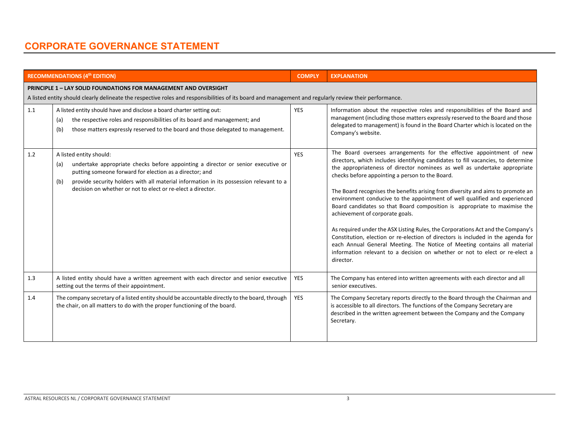|         | <b>RECOMMENDATIONS (4th EDITION)</b>                                                                                                                                                                                                                                                                                                          | <b>COMPLY</b> | <b>EXPLANATION</b>                                                                                                                                                                                                                                                                                                                                                                                                                                                                                                                                                                                                                                                                                                                                                                                                                                                                                                       |
|---------|-----------------------------------------------------------------------------------------------------------------------------------------------------------------------------------------------------------------------------------------------------------------------------------------------------------------------------------------------|---------------|--------------------------------------------------------------------------------------------------------------------------------------------------------------------------------------------------------------------------------------------------------------------------------------------------------------------------------------------------------------------------------------------------------------------------------------------------------------------------------------------------------------------------------------------------------------------------------------------------------------------------------------------------------------------------------------------------------------------------------------------------------------------------------------------------------------------------------------------------------------------------------------------------------------------------|
|         | <b>PRINCIPLE 1 - LAY SOLID FOUNDATIONS FOR MANAGEMENT AND OVERSIGHT</b><br>A listed entity should clearly delineate the respective roles and responsibilities of its board and management and regularly review their performance.                                                                                                             |               |                                                                                                                                                                                                                                                                                                                                                                                                                                                                                                                                                                                                                                                                                                                                                                                                                                                                                                                          |
| $1.1\,$ | A listed entity should have and disclose a board charter setting out:<br>the respective roles and responsibilities of its board and management; and<br>(a)<br>those matters expressly reserved to the board and those delegated to management.<br>(b)                                                                                         | <b>YES</b>    | Information about the respective roles and responsibilities of the Board and<br>management (including those matters expressly reserved to the Board and those<br>delegated to management) is found in the Board Charter which is located on the<br>Company's website.                                                                                                                                                                                                                                                                                                                                                                                                                                                                                                                                                                                                                                                    |
| 1.2     | A listed entity should:<br>undertake appropriate checks before appointing a director or senior executive or<br>(a)<br>putting someone forward for election as a director; and<br>provide security holders with all material information in its possession relevant to a<br>(b)<br>decision on whether or not to elect or re-elect a director. | <b>YES</b>    | The Board oversees arrangements for the effective appointment of new<br>directors, which includes identifying candidates to fill vacancies, to determine<br>the appropriateness of director nominees as well as undertake appropriate<br>checks before appointing a person to the Board.<br>The Board recognises the benefits arising from diversity and aims to promote an<br>environment conducive to the appointment of well qualified and experienced<br>Board candidates so that Board composition is appropriate to maximise the<br>achievement of corporate goals.<br>As required under the ASX Listing Rules, the Corporations Act and the Company's<br>Constitution, election or re-election of directors is included in the agenda for<br>each Annual General Meeting. The Notice of Meeting contains all material<br>information relevant to a decision on whether or not to elect or re-elect a<br>director. |
| 1.3     | A listed entity should have a written agreement with each director and senior executive<br>setting out the terms of their appointment.                                                                                                                                                                                                        | <b>YES</b>    | The Company has entered into written agreements with each director and all<br>senior executives.                                                                                                                                                                                                                                                                                                                                                                                                                                                                                                                                                                                                                                                                                                                                                                                                                         |
| 1.4     | The company secretary of a listed entity should be accountable directly to the board, through<br>the chair, on all matters to do with the proper functioning of the board.                                                                                                                                                                    | <b>YES</b>    | The Company Secretary reports directly to the Board through the Chairman and<br>is accessible to all directors. The functions of the Company Secretary are<br>described in the written agreement between the Company and the Company<br>Secretary.                                                                                                                                                                                                                                                                                                                                                                                                                                                                                                                                                                                                                                                                       |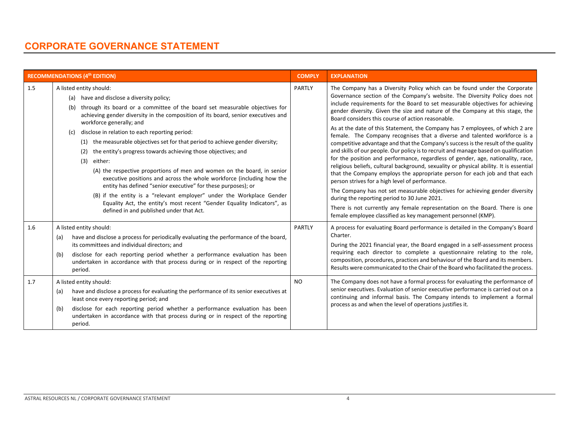|            | <b>RECOMMENDATIONS (4th EDITION)</b>                                                                                                                                                                                                                                                                                                                                                                                                                                                                                                                                                                                                                                                                                                                                                                                                                                                                                                  | <b>COMPLY</b>       | <b>EXPLANATION</b>                                                                                                                                                                                                                                                                                                                                                                                                                                                                                                                                                                                                                                                                                                                                                                                                                                                                                                                                                                                                                                                                                                                                                                                                                                                                                                      |
|------------|---------------------------------------------------------------------------------------------------------------------------------------------------------------------------------------------------------------------------------------------------------------------------------------------------------------------------------------------------------------------------------------------------------------------------------------------------------------------------------------------------------------------------------------------------------------------------------------------------------------------------------------------------------------------------------------------------------------------------------------------------------------------------------------------------------------------------------------------------------------------------------------------------------------------------------------|---------------------|-------------------------------------------------------------------------------------------------------------------------------------------------------------------------------------------------------------------------------------------------------------------------------------------------------------------------------------------------------------------------------------------------------------------------------------------------------------------------------------------------------------------------------------------------------------------------------------------------------------------------------------------------------------------------------------------------------------------------------------------------------------------------------------------------------------------------------------------------------------------------------------------------------------------------------------------------------------------------------------------------------------------------------------------------------------------------------------------------------------------------------------------------------------------------------------------------------------------------------------------------------------------------------------------------------------------------|
| 1.5        | A listed entity should:<br>(a) have and disclose a diversity policy;<br>through its board or a committee of the board set measurable objectives for<br>(b)<br>achieving gender diversity in the composition of its board, senior executives and<br>workforce generally; and<br>disclose in relation to each reporting period:<br>(c)<br>(1) the measurable objectives set for that period to achieve gender diversity;<br>the entity's progress towards achieving those objectives; and<br>(2)<br>either:<br>(3)<br>(A) the respective proportions of men and women on the board, in senior<br>executive positions and across the whole workforce (including how the<br>entity has defined "senior executive" for these purposes); or<br>(B) if the entity is a "relevant employer" under the Workplace Gender<br>Equality Act, the entity's most recent "Gender Equality Indicators", as<br>defined in and published under that Act. | PARTLY              | The Company has a Diversity Policy which can be found under the Corporate<br>Governance section of the Company's website. The Diversity Policy does not<br>include requirements for the Board to set measurable objectives for achieving<br>gender diversity. Given the size and nature of the Company at this stage, the<br>Board considers this course of action reasonable.<br>As at the date of this Statement, the Company has 7 employees, of which 2 are<br>female. The Company recognises that a diverse and talented workforce is a<br>competitive advantage and that the Company's success is the result of the quality<br>and skills of our people. Our policy is to recruit and manage based on qualification<br>for the position and performance, regardless of gender, age, nationality, race,<br>religious beliefs, cultural background, sexuality or physical ability. It is essential<br>that the Company employs the appropriate person for each job and that each<br>person strives for a high level of performance.<br>The Company has not set measurable objectives for achieving gender diversity<br>during the reporting period to 30 June 2021.<br>There is not currently any female representation on the Board. There is one<br>female employee classified as key management personnel (KMP). |
| 1.6<br>1.7 | A listed entity should:<br>have and disclose a process for periodically evaluating the performance of the board,<br>(a)<br>its committees and individual directors; and<br>disclose for each reporting period whether a performance evaluation has been<br>(b)<br>undertaken in accordance with that process during or in respect of the reporting<br>period.<br>A listed entity should:                                                                                                                                                                                                                                                                                                                                                                                                                                                                                                                                              | PARTLY<br><b>NO</b> | A process for evaluating Board performance is detailed in the Company's Board<br>Charter.<br>During the 2021 financial year, the Board engaged in a self-assessment process<br>requiring each director to complete a questionnaire relating to the role,<br>composition, procedures, practices and behaviour of the Board and its members.<br>Results were communicated to the Chair of the Board who facilitated the process.<br>The Company does not have a formal process for evaluating the performance of                                                                                                                                                                                                                                                                                                                                                                                                                                                                                                                                                                                                                                                                                                                                                                                                          |
|            | have and disclose a process for evaluating the performance of its senior executives at<br>(a)<br>least once every reporting period; and<br>disclose for each reporting period whether a performance evaluation has been<br>(b)<br>undertaken in accordance with that process during or in respect of the reporting<br>period.                                                                                                                                                                                                                                                                                                                                                                                                                                                                                                                                                                                                         |                     | senior executives. Evaluation of senior executive performance is carried out on a<br>continuing and informal basis. The Company intends to implement a formal<br>process as and when the level of operations justifies it.                                                                                                                                                                                                                                                                                                                                                                                                                                                                                                                                                                                                                                                                                                                                                                                                                                                                                                                                                                                                                                                                                              |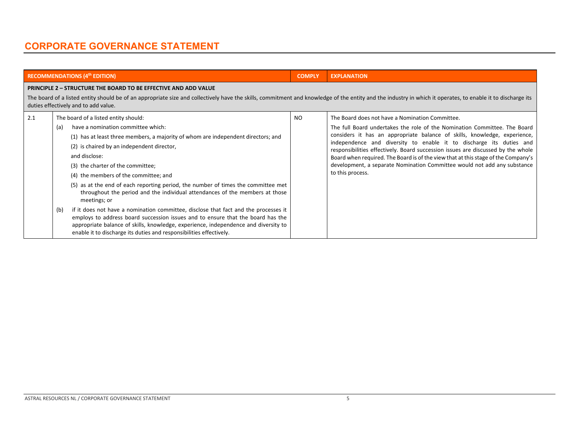|                   | <b>RECOMMENDATIONS (4th EDITION)</b>                                                                                                                                                                                                                                                                                                                                                                                                                                                                                                                                                                                                                                                                                                                                                                                                      | <b>COMPLY</b> | <b>EXPLANATION</b>                                                                                                                                                                                                                                                                                                                                                                                                                                                                                                                                        |  |  |  |
|-------------------|-------------------------------------------------------------------------------------------------------------------------------------------------------------------------------------------------------------------------------------------------------------------------------------------------------------------------------------------------------------------------------------------------------------------------------------------------------------------------------------------------------------------------------------------------------------------------------------------------------------------------------------------------------------------------------------------------------------------------------------------------------------------------------------------------------------------------------------------|---------------|-----------------------------------------------------------------------------------------------------------------------------------------------------------------------------------------------------------------------------------------------------------------------------------------------------------------------------------------------------------------------------------------------------------------------------------------------------------------------------------------------------------------------------------------------------------|--|--|--|
|                   | <b>PRINCIPLE 2 - STRUCTURE THE BOARD TO BE EFFECTIVE AND ADD VALUE</b><br>The board of a listed entity should be of an appropriate size and collectively have the skills, commitment and knowledge of the entity and the industry in which it operates, to enable it to discharge its<br>duties effectively and to add value.                                                                                                                                                                                                                                                                                                                                                                                                                                                                                                             |               |                                                                                                                                                                                                                                                                                                                                                                                                                                                                                                                                                           |  |  |  |
| 2.1<br>(a)<br>(b) | The board of a listed entity should:<br>have a nomination committee which:<br>(1) has at least three members, a majority of whom are independent directors; and<br>(2) is chaired by an independent director,<br>and disclose:<br>(3) the charter of the committee;<br>(4) the members of the committee; and<br>(5) as at the end of each reporting period, the number of times the committee met<br>throughout the period and the individual attendances of the members at those<br>meetings; or<br>if it does not have a nomination committee, disclose that fact and the processes it<br>employs to address board succession issues and to ensure that the board has the<br>appropriate balance of skills, knowledge, experience, independence and diversity to<br>enable it to discharge its duties and responsibilities effectively. | NO.           | The Board does not have a Nomination Committee.<br>The full Board undertakes the role of the Nomination Committee. The Board<br>considers it has an appropriate balance of skills, knowledge, experience,<br>independence and diversity to enable it to discharge its duties and<br>responsibilities effectively. Board succession issues are discussed by the whole<br>Board when required. The Board is of the view that at this stage of the Company's<br>development, a separate Nomination Committee would not add any substance<br>to this process. |  |  |  |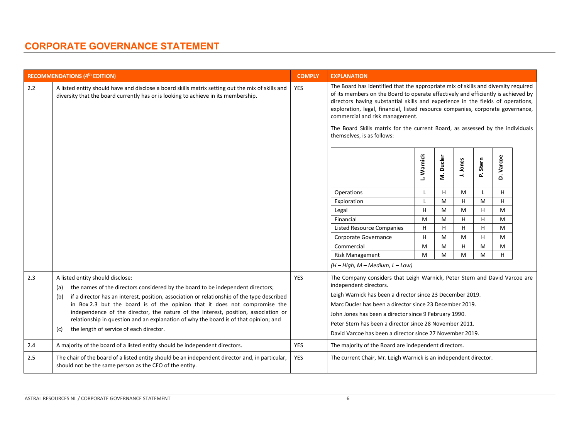|     | <b>RECOMMENDATIONS (4th EDITION)</b>                                                                                                                                                   | <b>COMPLY</b> | <b>EXPLANATION</b>                                                                                                                                                                                                                                                                                                                                                                                                                                                                              |            |             |          |             |             |  |
|-----|----------------------------------------------------------------------------------------------------------------------------------------------------------------------------------------|---------------|-------------------------------------------------------------------------------------------------------------------------------------------------------------------------------------------------------------------------------------------------------------------------------------------------------------------------------------------------------------------------------------------------------------------------------------------------------------------------------------------------|------------|-------------|----------|-------------|-------------|--|
| 2.2 | A listed entity should have and disclose a board skills matrix setting out the mix of skills and<br>diversity that the board currently has or is looking to achieve in its membership. | YES           | The Board has identified that the appropriate mix of skills and diversity required<br>of its members on the Board to operate effectively and efficiently is achieved by<br>directors having substantial skills and experience in the fields of operations,<br>exploration, legal, financial, listed resource companies, corporate governance,<br>commercial and risk management.<br>The Board Skills matrix for the current Board, as assessed by the individuals<br>themselves, is as follows: |            |             |          |             |             |  |
|     |                                                                                                                                                                                        |               |                                                                                                                                                                                                                                                                                                                                                                                                                                                                                                 | L. Warnick | Ducler<br>έ | J. Jones | Stern<br>ρ. | Varcoe<br>۵ |  |
|     |                                                                                                                                                                                        |               | Operations                                                                                                                                                                                                                                                                                                                                                                                                                                                                                      | L          | H           | M        |             | H           |  |
|     |                                                                                                                                                                                        |               | Exploration                                                                                                                                                                                                                                                                                                                                                                                                                                                                                     | L          | M           | H        | M           | H           |  |
|     |                                                                                                                                                                                        |               | Legal                                                                                                                                                                                                                                                                                                                                                                                                                                                                                           | H          | M           | M        | H           | M           |  |
|     |                                                                                                                                                                                        |               | Financial                                                                                                                                                                                                                                                                                                                                                                                                                                                                                       | M          | M           | H        | H           | M           |  |
|     |                                                                                                                                                                                        |               | <b>Listed Resource Companies</b>                                                                                                                                                                                                                                                                                                                                                                                                                                                                | H          | H           | H        | H           | M           |  |
|     |                                                                                                                                                                                        |               | Corporate Governance                                                                                                                                                                                                                                                                                                                                                                                                                                                                            | H          | M           | M        | H           | M           |  |
|     |                                                                                                                                                                                        |               | Commercial                                                                                                                                                                                                                                                                                                                                                                                                                                                                                      | M          | M           | H        | M           | M           |  |
|     |                                                                                                                                                                                        |               | <b>Risk Management</b>                                                                                                                                                                                                                                                                                                                                                                                                                                                                          | M          | M           | M        | M           | H           |  |
|     |                                                                                                                                                                                        |               | $(H - High, M - Medium, L - Low)$                                                                                                                                                                                                                                                                                                                                                                                                                                                               |            |             |          |             |             |  |
| 2.3 | A listed entity should disclose:<br>the names of the directors considered by the board to be independent directors;<br>(a)                                                             | <b>YES</b>    | The Company considers that Leigh Warnick, Peter Stern and David Varcoe are<br>independent directors.                                                                                                                                                                                                                                                                                                                                                                                            |            |             |          |             |             |  |
|     | if a director has an interest, position, association or relationship of the type described<br>(b)                                                                                      |               | Leigh Warnick has been a director since 23 December 2019.                                                                                                                                                                                                                                                                                                                                                                                                                                       |            |             |          |             |             |  |
|     | in Box 2.3 but the board is of the opinion that it does not compromise the                                                                                                             |               | Marc Ducler has been a director since 23 December 2019.                                                                                                                                                                                                                                                                                                                                                                                                                                         |            |             |          |             |             |  |
|     | independence of the director, the nature of the interest, position, association or                                                                                                     |               | John Jones has been a director since 9 February 1990.                                                                                                                                                                                                                                                                                                                                                                                                                                           |            |             |          |             |             |  |
|     | relationship in question and an explanation of why the board is of that opinion; and<br>the length of service of each director.<br>(c)                                                 |               | Peter Stern has been a director since 28 November 2011.                                                                                                                                                                                                                                                                                                                                                                                                                                         |            |             |          |             |             |  |
|     |                                                                                                                                                                                        |               | David Varcoe has been a director since 27 November 2019.                                                                                                                                                                                                                                                                                                                                                                                                                                        |            |             |          |             |             |  |
| 2.4 | A majority of the board of a listed entity should be independent directors.                                                                                                            | <b>YES</b>    | The majority of the Board are independent directors.                                                                                                                                                                                                                                                                                                                                                                                                                                            |            |             |          |             |             |  |
| 2.5 | The chair of the board of a listed entity should be an independent director and, in particular,<br>should not be the same person as the CEO of the entity.                             | <b>YES</b>    | The current Chair, Mr. Leigh Warnick is an independent director.                                                                                                                                                                                                                                                                                                                                                                                                                                |            |             |          |             |             |  |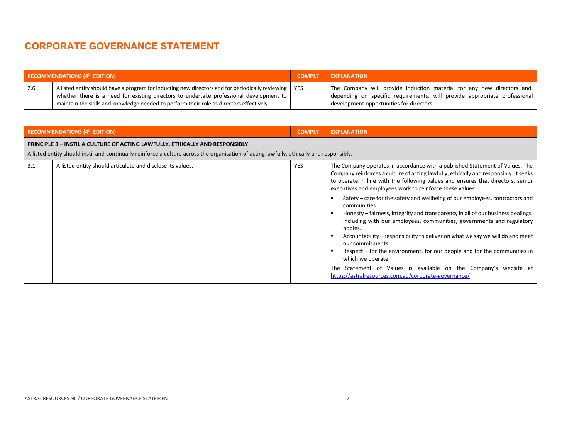|     | <b>RECOMMENDATIONS <math>(4th</math> EDITION)</b>                                                                                                                                                                                                                                             | <b>COMPLY</b> | <b>EXPLANATION</b>                                                                                                                                                                              |
|-----|-----------------------------------------------------------------------------------------------------------------------------------------------------------------------------------------------------------------------------------------------------------------------------------------------|---------------|-------------------------------------------------------------------------------------------------------------------------------------------------------------------------------------------------|
| 2.6 | A listed entity should have a program for inducting new directors and for periodically reviewing   YES<br>whether there is a need for existing directors to undertake professional development to<br>maintain the skills and knowledge needed to perform their role as directors effectively. |               | The Company will provide induction material for any new directors and,<br>depending on specific requirements, will provide appropriate professional<br>development opportunities for directors. |

| <b>RECOMMENDATIONS (4th EDITION)</b> |                                                                                                                                                                                                                                 |            | <b>EXPLANATION</b>                                                                                                                                                                                                                                                                                                                                                                                                                                                                                                                                                                                                                                                                                                                                                                                                                                                                                                           |
|--------------------------------------|---------------------------------------------------------------------------------------------------------------------------------------------------------------------------------------------------------------------------------|------------|------------------------------------------------------------------------------------------------------------------------------------------------------------------------------------------------------------------------------------------------------------------------------------------------------------------------------------------------------------------------------------------------------------------------------------------------------------------------------------------------------------------------------------------------------------------------------------------------------------------------------------------------------------------------------------------------------------------------------------------------------------------------------------------------------------------------------------------------------------------------------------------------------------------------------|
|                                      | <b>PRINCIPLE 3 - INSTIL A CULTURE OF ACTING LAWFULLY, ETHICALLY AND RESPONSIBLY</b><br>A listed entity should instil and continually reinforce a culture across the organisation of acting lawfully, ethically and responsibly. |            |                                                                                                                                                                                                                                                                                                                                                                                                                                                                                                                                                                                                                                                                                                                                                                                                                                                                                                                              |
| 3.1                                  | A listed entity should articulate and disclose its values.                                                                                                                                                                      | <b>YES</b> | The Company operates in accordance with a published Statement of Values. The<br>Company reinforces a culture of acting lawfully, ethically and responsibly. It seeks<br>to operate in line with the following values and ensures that directors, senior<br>executives and employees work to reinforce these values:<br>Safety – care for the safety and wellbeing of our employees, contractors and<br>communities.<br>Honesty – fairness, integrity and transparency in all of our business dealings,<br>including with our employees, communities, governments and regulatory<br>bodies.<br>Accountability – responsibility to deliver on what we say we will do and meet<br>our commitments.<br>Respect – for the environment, for our people and for the communities in<br>which we operate.<br>The Statement of Values is available on the Company's website at<br>https://astralresources.com.au/corporate-governance/ |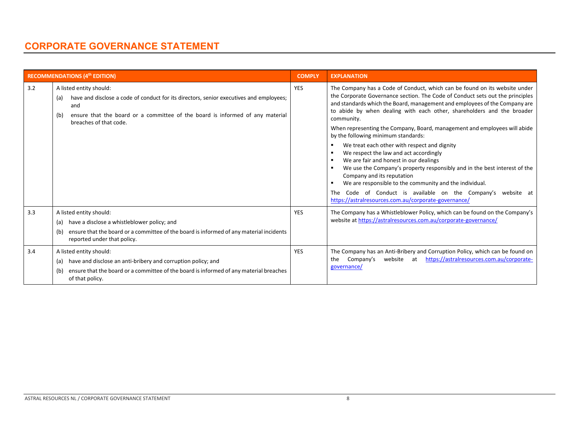|     | <b>RECOMMENDATIONS (4th EDITION)</b>                                                                                                                                                                                                               | <b>COMPLY</b> | <b>EXPLANATION</b>                                                                                                                                                                                                                                                                                                                                                                                                                                                                                                                                                                                                                                                                                                                                                                                                                                                                                |
|-----|----------------------------------------------------------------------------------------------------------------------------------------------------------------------------------------------------------------------------------------------------|---------------|---------------------------------------------------------------------------------------------------------------------------------------------------------------------------------------------------------------------------------------------------------------------------------------------------------------------------------------------------------------------------------------------------------------------------------------------------------------------------------------------------------------------------------------------------------------------------------------------------------------------------------------------------------------------------------------------------------------------------------------------------------------------------------------------------------------------------------------------------------------------------------------------------|
| 3.2 | A listed entity should:<br>have and disclose a code of conduct for its directors, senior executives and employees;<br>(a)<br>and<br>ensure that the board or a committee of the board is informed of any material<br>(b)<br>breaches of that code. | <b>YES</b>    | The Company has a Code of Conduct, which can be found on its website under<br>the Corporate Governance section. The Code of Conduct sets out the principles<br>and standards which the Board, management and employees of the Company are<br>to abide by when dealing with each other, shareholders and the broader<br>community.<br>When representing the Company, Board, management and employees will abide<br>by the following minimum standards:<br>We treat each other with respect and dignity<br>We respect the law and act accordingly<br>We are fair and honest in our dealings<br>We use the Company's property responsibly and in the best interest of the<br>Company and its reputation<br>We are responsible to the community and the individual.<br>Code of Conduct is available on the Company's website at<br><b>The</b><br>https://astralresources.com.au/corporate-governance/ |
| 3.3 | A listed entity should:<br>have a disclose a whistleblower policy; and<br>(a)<br>ensure that the board or a committee of the board is informed of any material incidents<br>(b)<br>reported under that policy.                                     | <b>YES</b>    | The Company has a Whistleblower Policy, which can be found on the Company's<br>website at https://astralresources.com.au/corporate-governance/                                                                                                                                                                                                                                                                                                                                                                                                                                                                                                                                                                                                                                                                                                                                                    |
| 3.4 | A listed entity should:<br>have and disclose an anti-bribery and corruption policy; and<br>(a)<br>ensure that the board or a committee of the board is informed of any material breaches<br>(b)<br>of that policy.                                 | <b>YES</b>    | The Company has an Anti-Bribery and Corruption Policy, which can be found on<br>https://astralresources.com.au/corporate-<br>website at<br>Company's<br>the<br>governance/                                                                                                                                                                                                                                                                                                                                                                                                                                                                                                                                                                                                                                                                                                                        |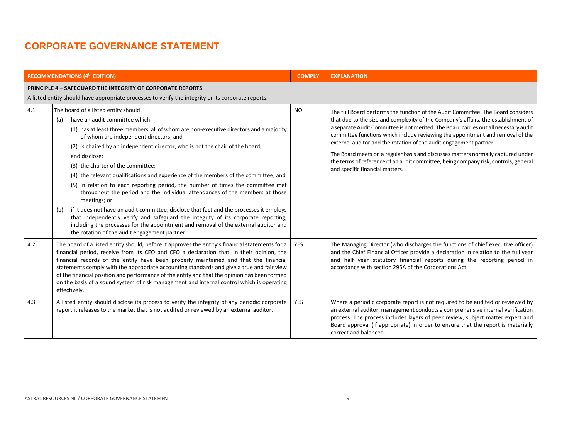|     | <b>RECOMMENDATIONS (4th EDITION)</b>                                                                                                                                                                                                                                                                                                                                                                                                                                                                                                                                                                                                                                                                                                                                                                                                                                                                                                                              | <b>COMPLY</b>  | <b>EXPLANATION</b>                                                                                                                                                                                                                                                                                                                                                                                                                                                                                                                                                                                                                   |
|-----|-------------------------------------------------------------------------------------------------------------------------------------------------------------------------------------------------------------------------------------------------------------------------------------------------------------------------------------------------------------------------------------------------------------------------------------------------------------------------------------------------------------------------------------------------------------------------------------------------------------------------------------------------------------------------------------------------------------------------------------------------------------------------------------------------------------------------------------------------------------------------------------------------------------------------------------------------------------------|----------------|--------------------------------------------------------------------------------------------------------------------------------------------------------------------------------------------------------------------------------------------------------------------------------------------------------------------------------------------------------------------------------------------------------------------------------------------------------------------------------------------------------------------------------------------------------------------------------------------------------------------------------------|
|     | <b>PRINCIPLE 4 - SAFEGUARD THE INTEGRITY OF CORPORATE REPORTS</b><br>A listed entity should have appropriate processes to verify the integrity or its corporate reports.                                                                                                                                                                                                                                                                                                                                                                                                                                                                                                                                                                                                                                                                                                                                                                                          |                |                                                                                                                                                                                                                                                                                                                                                                                                                                                                                                                                                                                                                                      |
| 4.1 | The board of a listed entity should:<br>have an audit committee which:<br>(a)<br>(1) has at least three members, all of whom are non-executive directors and a majority<br>of whom are independent directors; and<br>(2) is chaired by an independent director, who is not the chair of the board,<br>and disclose:<br>(3) the charter of the committee;<br>(4) the relevant qualifications and experience of the members of the committee; and<br>(5) in relation to each reporting period, the number of times the committee met<br>throughout the period and the individual attendances of the members at those<br>meetings; or<br>if it does not have an audit committee, disclose that fact and the processes it employs<br>(b)<br>that independently verify and safeguard the integrity of its corporate reporting,<br>including the processes for the appointment and removal of the external auditor and<br>the rotation of the audit engagement partner. | N <sub>O</sub> | The full Board performs the function of the Audit Committee. The Board considers<br>that due to the size and complexity of the Company's affairs, the establishment of<br>a separate Audit Committee is not merited. The Board carries out all necessary audit<br>committee functions which include reviewing the appointment and removal of the<br>external auditor and the rotation of the audit engagement partner.<br>The Board meets on a regular basis and discusses matters normally captured under<br>the terms of reference of an audit committee, being company risk, controls, general<br>and specific financial matters. |
| 4.2 | The board of a listed entity should, before it approves the entity's financial statements for a<br>financial period, receive from its CEO and CFO a declaration that, in their opinion, the<br>financial records of the entity have been properly maintained and that the financial<br>statements comply with the appropriate accounting standards and give a true and fair view<br>of the financial position and performance of the entity and that the opinion has been formed<br>on the basis of a sound system of risk management and internal control which is operating<br>effectively.                                                                                                                                                                                                                                                                                                                                                                     | <b>YES</b>     | The Managing Director (who discharges the functions of chief executive officer)<br>and the Chief Financial Officer provide a declaration in relation to the full year<br>and half year statutory financial reports during the reporting period in<br>accordance with section 295A of the Corporations Act.                                                                                                                                                                                                                                                                                                                           |
| 4.3 | A listed entity should disclose its process to verify the integrity of any periodic corporate<br>report it releases to the market that is not audited or reviewed by an external auditor.                                                                                                                                                                                                                                                                                                                                                                                                                                                                                                                                                                                                                                                                                                                                                                         | <b>YES</b>     | Where a periodic corporate report is not required to be audited or reviewed by<br>an external auditor, management conducts a comprehensive internal verification<br>process. The process includes layers of peer review, subject matter expert and<br>Board approval (if appropriate) in order to ensure that the report is materially<br>correct and balanced.                                                                                                                                                                                                                                                                      |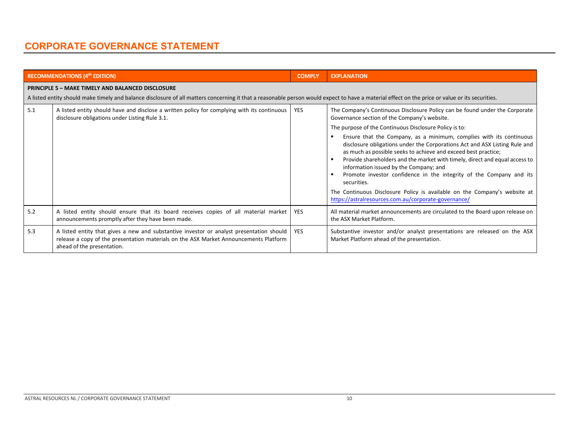|     | <b>RECOMMENDATIONS (4th EDITION)</b>                                                                                                                                                                                                                        | <b>COMPLY</b> | <b>EXPLANATION</b>                                                                                                                                                                                                                                                                                                                                                                                                                                                                                                                                                                                                                                                                                                                                               |
|-----|-------------------------------------------------------------------------------------------------------------------------------------------------------------------------------------------------------------------------------------------------------------|---------------|------------------------------------------------------------------------------------------------------------------------------------------------------------------------------------------------------------------------------------------------------------------------------------------------------------------------------------------------------------------------------------------------------------------------------------------------------------------------------------------------------------------------------------------------------------------------------------------------------------------------------------------------------------------------------------------------------------------------------------------------------------------|
|     | <b>PRINCIPLE 5 - MAKE TIMELY AND BALANCED DISCLOSURE</b><br>A listed entity should make timely and balance disclosure of all matters concerning it that a reasonable person would expect to have a material effect on the price or value or its securities. |               |                                                                                                                                                                                                                                                                                                                                                                                                                                                                                                                                                                                                                                                                                                                                                                  |
| 5.1 | A listed entity should have and disclose a written policy for complying with its continuous<br>disclosure obligations under Listing Rule 3.1.                                                                                                               | <b>YES</b>    | The Company's Continuous Disclosure Policy can be found under the Corporate<br>Governance section of the Company's website.<br>The purpose of the Continuous Disclosure Policy is to:<br>Ensure that the Company, as a minimum, complies with its continuous<br>disclosure obligations under the Corporations Act and ASX Listing Rule and<br>as much as possible seeks to achieve and exceed best practice;<br>Provide shareholders and the market with timely, direct and equal access to<br>information issued by the Company; and<br>Promote investor confidence in the integrity of the Company and its<br>securities.<br>The Continuous Disclosure Policy is available on the Company's website at<br>https://astralresources.com.au/corporate-governance/ |
| 5.2 | A listed entity should ensure that its board receives copies of all material market<br>announcements promptly after they have been made.                                                                                                                    | <b>YES</b>    | All material market announcements are circulated to the Board upon release on<br>the ASX Market Platform.                                                                                                                                                                                                                                                                                                                                                                                                                                                                                                                                                                                                                                                        |
| 5.3 | A listed entity that gives a new and substantive investor or analyst presentation should<br>release a copy of the presentation materials on the ASX Market Announcements Platform<br>ahead of the presentation.                                             | <b>YES</b>    | Substantive investor and/or analyst presentations are released on the ASX<br>Market Platform ahead of the presentation.                                                                                                                                                                                                                                                                                                                                                                                                                                                                                                                                                                                                                                          |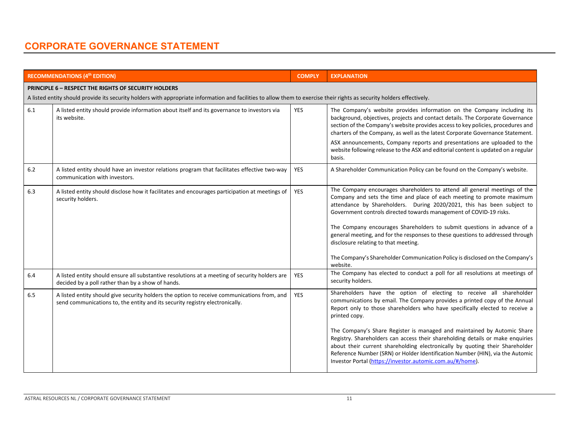|         | <b>RECOMMENDATIONS (4th EDITION)</b>                                                                                                                                        | <b>COMPLY</b> | <b>EXPLANATION</b>                                                                                                                                                                                                                                                                                                                                                                      |  |  |  |
|---------|-----------------------------------------------------------------------------------------------------------------------------------------------------------------------------|---------------|-----------------------------------------------------------------------------------------------------------------------------------------------------------------------------------------------------------------------------------------------------------------------------------------------------------------------------------------------------------------------------------------|--|--|--|
|         | <b>PRINCIPLE 6 - RESPECT THE RIGHTS OF SECURITY HOLDERS</b>                                                                                                                 |               |                                                                                                                                                                                                                                                                                                                                                                                         |  |  |  |
|         | A listed entity should provide its security holders with appropriate information and facilities to allow them to exercise their rights as security holders effectively.     |               |                                                                                                                                                                                                                                                                                                                                                                                         |  |  |  |
| $6.1\,$ | A listed entity should provide information about itself and its governance to investors via<br>its website.                                                                 | <b>YES</b>    | The Company's website provides information on the Company including its<br>background, objectives, projects and contact details. The Corporate Governance<br>section of the Company's website provides access to key policies, procedures and<br>charters of the Company, as well as the latest Corporate Governance Statement.                                                         |  |  |  |
|         |                                                                                                                                                                             |               | ASX announcements, Company reports and presentations are uploaded to the<br>website following release to the ASX and editorial content is updated on a regular<br>basis.                                                                                                                                                                                                                |  |  |  |
| 6.2     | A listed entity should have an investor relations program that facilitates effective two-way<br>communication with investors.                                               | <b>YES</b>    | A Shareholder Communication Policy can be found on the Company's website.                                                                                                                                                                                                                                                                                                               |  |  |  |
| 6.3     | A listed entity should disclose how it facilitates and encourages participation at meetings of<br>security holders.                                                         | <b>YES</b>    | The Company encourages shareholders to attend all general meetings of the<br>Company and sets the time and place of each meeting to promote maximum<br>attendance by Shareholders. During 2020/2021, this has been subject to<br>Government controls directed towards management of COVID-19 risks.                                                                                     |  |  |  |
|         |                                                                                                                                                                             |               | The Company encourages Shareholders to submit questions in advance of a<br>general meeting, and for the responses to these questions to addressed through<br>disclosure relating to that meeting.                                                                                                                                                                                       |  |  |  |
|         |                                                                                                                                                                             |               | The Company's Shareholder Communication Policy is disclosed on the Company's<br>website.                                                                                                                                                                                                                                                                                                |  |  |  |
| 6.4     | A listed entity should ensure all substantive resolutions at a meeting of security holders are<br>decided by a poll rather than by a show of hands.                         | <b>YES</b>    | The Company has elected to conduct a poll for all resolutions at meetings of<br>security holders.                                                                                                                                                                                                                                                                                       |  |  |  |
| 6.5     | A listed entity should give security holders the option to receive communications from, and<br>send communications to, the entity and its security registry electronically. | <b>YES</b>    | Shareholders have the option of electing to receive all shareholder<br>communications by email. The Company provides a printed copy of the Annual<br>Report only to those shareholders who have specifically elected to receive a<br>printed copy.                                                                                                                                      |  |  |  |
|         |                                                                                                                                                                             |               | The Company's Share Register is managed and maintained by Automic Share<br>Registry. Shareholders can access their shareholding details or make enquiries<br>about their current shareholding electronically by quoting their Shareholder<br>Reference Number (SRN) or Holder Identification Number (HIN), via the Automic<br>Investor Portal (https://investor.automic.com.au/#/home). |  |  |  |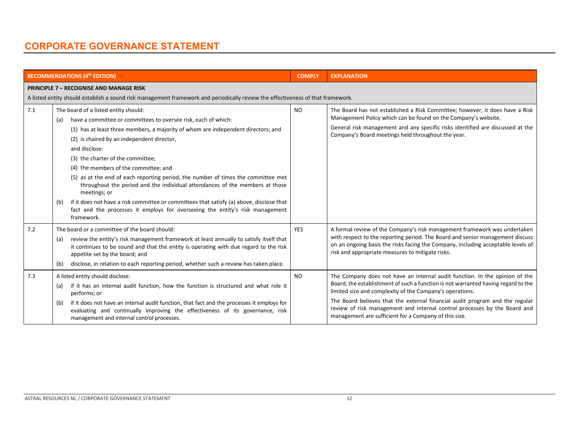|     | <b>RECOMMENDATIONS (4th EDITION)</b>                                                                                                                                                                                                                                                                                                                                                                                                                                                                                                                                                                                                                                                                                                   | <b>COMPLY</b> | <b>EXPLANATION</b>                                                                                                                                                                                                                                                                                                                                                                                                                                 |
|-----|----------------------------------------------------------------------------------------------------------------------------------------------------------------------------------------------------------------------------------------------------------------------------------------------------------------------------------------------------------------------------------------------------------------------------------------------------------------------------------------------------------------------------------------------------------------------------------------------------------------------------------------------------------------------------------------------------------------------------------------|---------------|----------------------------------------------------------------------------------------------------------------------------------------------------------------------------------------------------------------------------------------------------------------------------------------------------------------------------------------------------------------------------------------------------------------------------------------------------|
|     | <b>PRINCIPLE 7 - RECOGNISE AND MANAGE RISK</b><br>A listed entity should establish a sound risk management framework and periodically review the effectiveness of that framework.                                                                                                                                                                                                                                                                                                                                                                                                                                                                                                                                                      |               |                                                                                                                                                                                                                                                                                                                                                                                                                                                    |
| 7.1 | The board of a listed entity should:<br>have a committee or committees to oversee risk, each of which:<br>(a)<br>(1) has at least three members, a majority of whom are independent directors; and<br>(2) is chaired by an independent director,<br>and disclose:<br>(3) the charter of the committee;<br>(4) the members of the committee; and<br>(5) as at the end of each reporting period, the number of times the committee met<br>throughout the period and the individual attendances of the members at those<br>meetings; or<br>if it does not have a risk committee or committees that satisfy (a) above, disclose that<br>(b)<br>fact and the processes it employs for overseeing the entity's risk management<br>framework. | <b>NO</b>     | The Board has not established a Risk Committee; however, it does have a Risk<br>Management Policy which can be found on the Company's website.<br>General risk management and any specific risks identified are discussed at the<br>Company's Board meetings held throughout the year.                                                                                                                                                             |
| 7.2 | The board or a committee of the board should:<br>review the entity's risk management framework at least annually to satisfy itself that<br>(a)<br>it continues to be sound and that the entity is operating with due regard to the risk<br>appetite set by the board; and<br>disclose, in relation to each reporting period, whether such a review has taken place.<br>(b)                                                                                                                                                                                                                                                                                                                                                             | <b>YES</b>    | A formal review of the Company's risk management framework was undertaken<br>with respect to the reporting period. The Board and senior management discuss<br>on an ongoing basis the risks facing the Company, including acceptable levels of<br>risk and appropriate measures to mitigate risks.                                                                                                                                                 |
| 7.3 | A listed entity should disclose:<br>if it has an internal audit function, how the function is structured and what role it<br>(a)<br>performs; or<br>if it does not have an internal audit function, that fact and the processes it employs for<br>(b)<br>evaluating and continually improving the effectiveness of its governance, risk<br>management and internal control processes.                                                                                                                                                                                                                                                                                                                                                  | <b>NO</b>     | The Company does not have an internal audit function. In the opinion of the<br>Board, the establishment of such a function is not warranted having regard to the<br>limited size and complexity of the Company's operations.<br>The Board believes that the external financial audit program and the regular<br>review of risk management and internal control processes by the Board and<br>management are sufficient for a Company of this size. |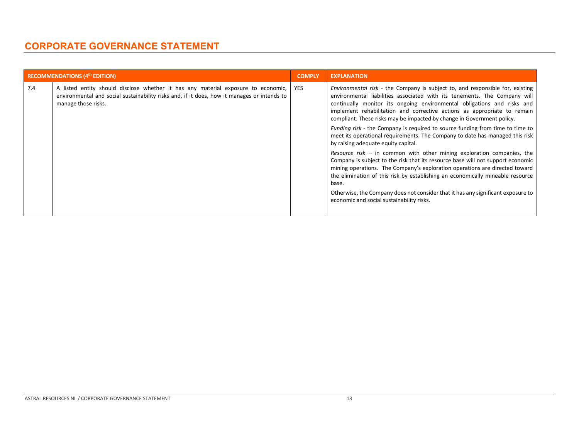|     | <b>RECOMMENDATIONS (4th EDITION)</b>                                                                                                                                                                          | <b>COMPLY</b> | <b>EXPLANATION</b>                                                                                                                                                                                                                                                                                                                                                                          |
|-----|---------------------------------------------------------------------------------------------------------------------------------------------------------------------------------------------------------------|---------------|---------------------------------------------------------------------------------------------------------------------------------------------------------------------------------------------------------------------------------------------------------------------------------------------------------------------------------------------------------------------------------------------|
| 7.4 | A listed entity should disclose whether it has any material exposure to economic,   YES<br>environmental and social sustainability risks and, if it does, how it manages or intends to<br>manage those risks. |               | Environmental risk - the Company is subject to, and responsible for, existing<br>environmental liabilities associated with its tenements. The Company will<br>continually monitor its ongoing environmental obligations and risks and<br>implement rehabilitation and corrective actions as appropriate to remain<br>compliant. These risks may be impacted by change in Government policy. |
|     |                                                                                                                                                                                                               |               | <i>Funding risk</i> - the Company is required to source funding from time to time to<br>meet its operational requirements. The Company to date has managed this risk<br>by raising adequate equity capital.                                                                                                                                                                                 |
|     |                                                                                                                                                                                                               |               | Resource risk $-$ in common with other mining exploration companies, the<br>Company is subject to the risk that its resource base will not support economic<br>mining operations. The Company's exploration operations are directed toward<br>the elimination of this risk by establishing an economically mineable resource<br>base.                                                       |
|     |                                                                                                                                                                                                               |               | Otherwise, the Company does not consider that it has any significant exposure to<br>economic and social sustainability risks.                                                                                                                                                                                                                                                               |